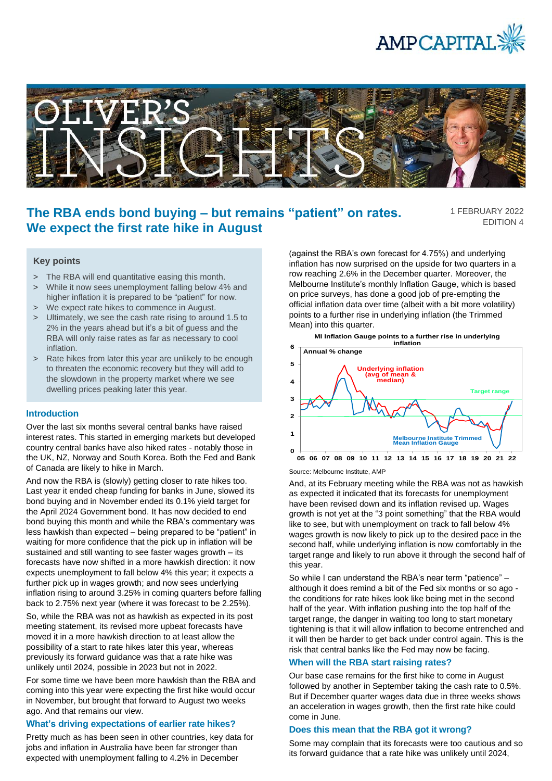



# **The RBA ends bond buying – but remains "patient" on rates. We expect the first rate hike in August**

1 FEBRUARY 2022 EDITION 4

# **Key points**

- > The RBA will end quantitative easing this month.
- > While it now sees unemployment falling below 4% and higher inflation it is prepared to be "patient" for now.
- > We expect rate hikes to commence in August.
- > Ultimately, we see the cash rate rising to around 1.5 to 2% in the years ahead but it's a bit of guess and the RBA will only raise rates as far as necessary to cool inflation.
- > Rate hikes from later this year are unlikely to be enough to threaten the economic recovery but they will add to the slowdown in the property market where we see dwelling prices peaking later this year.

## **Introduction**

Over the last six months several central banks have raised interest rates. This started in emerging markets but developed country central banks have also hiked rates - notably those in the UK, NZ, Norway and South Korea. Both the Fed and Bank of Canada are likely to hike in March.

And now the RBA is (slowly) getting closer to rate hikes too. Last year it ended cheap funding for banks in June, slowed its bond buying and in November ended its 0.1% yield target for the April 2024 Government bond. It has now decided to end bond buying this month and while the RBA's commentary was less hawkish than expected – being prepared to be "patient" in waiting for more confidence that the pick up in inflation will be sustained and still wanting to see faster wages growth – its forecasts have now shifted in a more hawkish direction: it now expects unemployment to fall below 4% this year; it expects a further pick up in wages growth; and now sees underlying inflation rising to around 3.25% in coming quarters before falling back to 2.75% next year (where it was forecast to be 2.25%).

So, while the RBA was not as hawkish as expected in its post meeting statement, its revised more upbeat forecasts have moved it in a more hawkish direction to at least allow the possibility of a start to rate hikes later this year, whereas previously its forward guidance was that a rate hike was unlikely until 2024, possible in 2023 but not in 2022.

For some time we have been more hawkish than the RBA and coming into this year were expecting the first hike would occur in November, but brought that forward to August two weeks ago. And that remains our view.

# **What's driving expectations of earlier rate hikes?**

Pretty much as has been seen in other countries, key data for jobs and inflation in Australia have been far stronger than expected with unemployment falling to 4.2% in December

(against the RBA's own forecast for 4.75%) and underlying inflation has now surprised on the upside for two quarters in a row reaching 2.6% in the December quarter. Moreover, the Melbourne Institute's monthly Inflation Gauge, which is based on price surveys, has done a good job of pre-empting the official inflation data over time (albeit with a bit more volatility) points to a further rise in underlying inflation (the Trimmed Mean) into this quarter.





Source: Melbourne Institute, AMP

And, at its February meeting while the RBA was not as hawkish as expected it indicated that its forecasts for unemployment have been revised down and its inflation revised up. Wages growth is not yet at the "3 point something" that the RBA would like to see, but with unemployment on track to fall below 4% wages growth is now likely to pick up to the desired pace in the second half, while underlying inflation is now comfortably in the target range and likely to run above it through the second half of this year.

So while I can understand the RBA's near term "patience" – although it does remind a bit of the Fed six months or so ago the conditions for rate hikes look like being met in the second half of the year. With inflation pushing into the top half of the target range, the danger in waiting too long to start monetary tightening is that it will allow inflation to become entrenched and it will then be harder to get back under control again. This is the risk that central banks like the Fed may now be facing.

### **When will the RBA start raising rates?**

Our base case remains for the first hike to come in August followed by another in September taking the cash rate to 0.5%. But if December quarter wages data due in three weeks shows an acceleration in wages growth, then the first rate hike could come in June.

### **Does this mean that the RBA got it wrong?**

Some may complain that its forecasts were too cautious and so its forward guidance that a rate hike was unlikely until 2024,